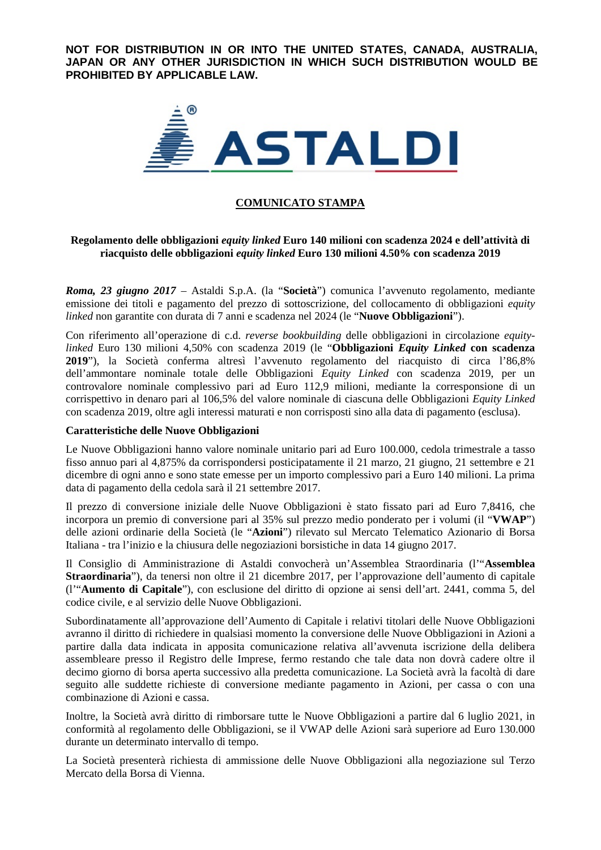**NOT FOR DISTRIBUTION IN OR INTO THE UNITED STATES, CANADA, AUSTRALIA, JAPAN OR ANY OTHER JURISDICTION IN WHICH SUCH DISTRIBUTION WOULD BE PROHIBITED BY APPLICABLE LAW.**



# **COMUNICATO STAMPA**

## **Regolamento delle obbligazioni** *equity linked* **Euro 140 milioni con scadenza 2024 e dell'attività di riacquisto delle obbligazioni** *equity linked* **Euro 130 milioni 4.50% con scadenza 2019**

*Roma, 23 giugno 2017* – Astaldi S.p.A. (la "**Società**") comunica l'avvenuto regolamento, mediante emissione dei titoli e pagamento del prezzo di sottoscrizione, del collocamento di obbligazioni *equity linked* non garantite con durata di 7 anni e scadenza nel 2024 (le "**Nuove Obbligazioni**").

Con riferimento all'operazione di c.d. *reverse bookbuilding* delle obbligazioni in circolazione *equitylinked* Euro 130 milioni 4,50% con scadenza 2019 (le "**Obbligazioni** *Equity Linked* **con scadenza 2019**"), la Società conferma altresì l'avvenuto regolamento del riacquisto di circa l'86,8% dell'ammontare nominale totale delle Obbligazioni *Equity Linked* con scadenza 2019, per un controvalore nominale complessivo pari ad Euro 112,9 milioni, mediante la corresponsione di un corrispettivo in denaro pari al 106,5% del valore nominale di ciascuna delle Obbligazioni *Equity Linked* con scadenza 2019, oltre agli interessi maturati e non corrisposti sino alla data di pagamento (esclusa).

### **Caratteristiche delle Nuove Obbligazioni**

Le Nuove Obbligazioni hanno valore nominale unitario pari ad Euro 100.000, cedola trimestrale a tasso fisso annuo pari al 4,875% da corrispondersi posticipatamente il 21 marzo, 21 giugno, 21 settembre e 21 dicembre di ogni anno e sono state emesse per un importo complessivo pari a Euro 140 milioni. La prima data di pagamento della cedola sarà il 21 settembre 2017.

Il prezzo di conversione iniziale delle Nuove Obbligazioni è stato fissato pari ad Euro 7,8416, che incorpora un premio di conversione pari al 35% sul prezzo medio ponderato per i volumi (il "**VWAP**") delle azioni ordinarie della Società (le "**Azioni**") rilevato sul Mercato Telematico Azionario di Borsa Italiana - tra l'inizio e la chiusura delle negoziazioni borsistiche in data 14 giugno 2017.

Il Consiglio di Amministrazione di Astaldi convocherà un'Assemblea Straordinaria (l'"**Assemblea Straordinaria**"), da tenersi non oltre il 21 dicembre 2017, per l'approvazione dell'aumento di capitale (l'"**Aumento di Capitale**"), con esclusione del diritto di opzione ai sensi dell'art. 2441, comma 5, del codice civile, e al servizio delle Nuove Obbligazioni.

Subordinatamente all'approvazione dell'Aumento di Capitale i relativi titolari delle Nuove Obbligazioni avranno il diritto di richiedere in qualsiasi momento la conversione delle Nuove Obbligazioni in Azioni a partire dalla data indicata in apposita comunicazione relativa all'avvenuta iscrizione della delibera assembleare presso il Registro delle Imprese, fermo restando che tale data non dovrà cadere oltre il decimo giorno di borsa aperta successivo alla predetta comunicazione. La Società avrà la facoltà di dare seguito alle suddette richieste di conversione mediante pagamento in Azioni, per cassa o con una combinazione di Azioni e cassa.

Inoltre, la Società avrà diritto di rimborsare tutte le Nuove Obbligazioni a partire dal 6 luglio 2021, in conformità al regolamento delle Obbligazioni, se il VWAP delle Azioni sarà superiore ad Euro 130.000 durante un determinato intervallo di tempo.

La Società presenterà richiesta di ammissione delle Nuove Obbligazioni alla negoziazione sul Terzo Mercato della Borsa di Vienna.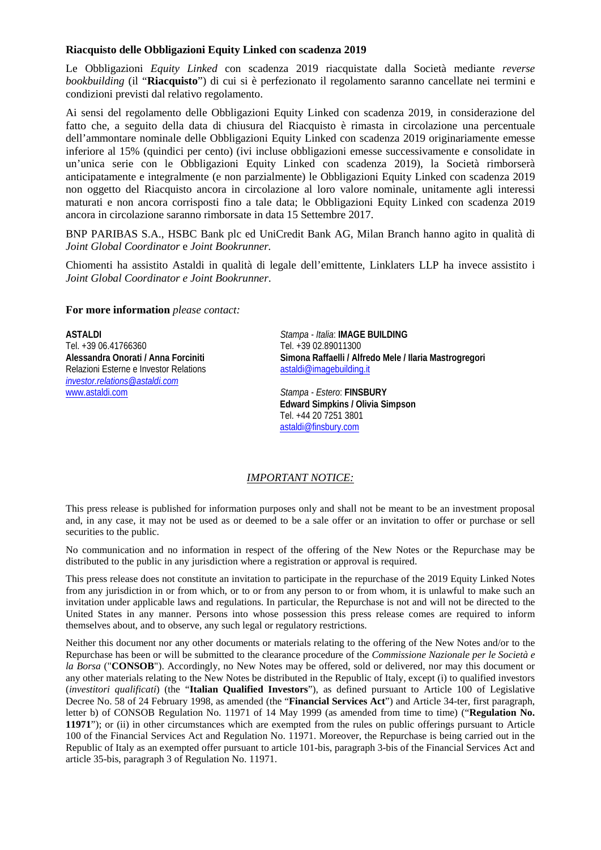### **Riacquisto delle Obbligazioni Equity Linked con scadenza 2019**

Le Obbligazioni *Equity Linked* con scadenza 2019 riacquistate dalla Società mediante *reverse bookbuilding* (il "**Riacquisto**") di cui si è perfezionato il regolamento saranno cancellate nei termini e condizioni previsti dal relativo regolamento.

Ai sensi del regolamento delle Obbligazioni Equity Linked con scadenza 2019, in considerazione del fatto che, a seguito della data di chiusura del Riacquisto è rimasta in circolazione una percentuale dell'ammontare nominale delle Obbligazioni Equity Linked con scadenza 2019 originariamente emesse inferiore al 15% (quindici per cento) (ivi incluse obbligazioni emesse successivamente e consolidate in un'unica serie con le Obbligazioni Equity Linked con scadenza 2019), la Società rimborserà anticipatamente e integralmente (e non parzialmente) le Obbligazioni Equity Linked con scadenza 2019 non oggetto del Riacquisto ancora in circolazione al loro valore nominale, unitamente agli interessi maturati e non ancora corrisposti fino a tale data; le Obbligazioni Equity Linked con scadenza 2019 ancora in circolazione saranno rimborsate in data 15 Settembre 2017.

BNP PARIBAS S.A., HSBC Bank plc ed UniCredit Bank AG, Milan Branch hanno agito in qualità di *Joint Global Coordinator* e *Joint Bookrunner.*

Chiomenti ha assistito Astaldi in qualità di legale dell'emittente, Linklaters LLP ha invece assistito i *Joint Global Coordinator e Joint Bookrunner*.

#### **For more information** *please contact:*

**ASTALDI** *Stampa - Italia*: **IMAGE BUILDING** Tel. +39 06.41766360 Tel. +39 02.89011300 Relazioni Esterne e Investor Relations *[investor.relations@astaldi.com](mailto:a.onorati@astaldi.com)*

Simona Raffaelli / Alfredo Mele / Ilaria Mastrogregori<br>astaldi@imagebuilding.it

 $Stampa - Estero: **FINSBURY**$ **Edward Simpkins / Olivia Simpson** Tel. +44 20 7251 3801 [astaldi@finsbury.com](mailto:astaldi@finsbury.com)

### *IMPORTANT NOTICE:*

This press release is published for information purposes only and shall not be meant to be an investment proposal and, in any case, it may not be used as or deemed to be a sale offer or an invitation to offer or purchase or sell securities to the public.

No communication and no information in respect of the offering of the New Notes or the Repurchase may be distributed to the public in any jurisdiction where a registration or approval is required.

This press release does not constitute an invitation to participate in the repurchase of the 2019 Equity Linked Notes from any jurisdiction in or from which, or to or from any person to or from whom, it is unlawful to make such an invitation under applicable laws and regulations. In particular, the Repurchase is not and will not be directed to the United States in any manner. Persons into whose possession this press release comes are required to inform themselves about, and to observe, any such legal or regulatory restrictions.

Neither this document nor any other documents or materials relating to the offering of the New Notes and/or to the Repurchase has been or will be submitted to the clearance procedure of the *Commissione Nazionale per le Società e la Borsa* ("**CONSOB**"). Accordingly, no New Notes may be offered, sold or delivered, nor may this document or any other materials relating to the New Notes be distributed in the Republic of Italy, except (i) to qualified investors (*investitori qualificati*) (the "**Italian Qualified Investors**"), as defined pursuant to Article 100 of Legislative Decree No. 58 of 24 February 1998, as amended (the "**Financial Services Act**") and Article 34-ter, first paragraph, letter b) of CONSOB Regulation No. 11971 of 14 May 1999 (as amended from time to time) ("**Regulation No. 11971**"); or (ii) in other circumstances which are exempted from the rules on public offerings pursuant to Article 100 of the Financial Services Act and Regulation No. 11971. Moreover, the Repurchase is being carried out in the Republic of Italy as an exempted offer pursuant to article 101-bis, paragraph 3-bis of the Financial Services Act and article 35-bis, paragraph 3 of Regulation No. 11971.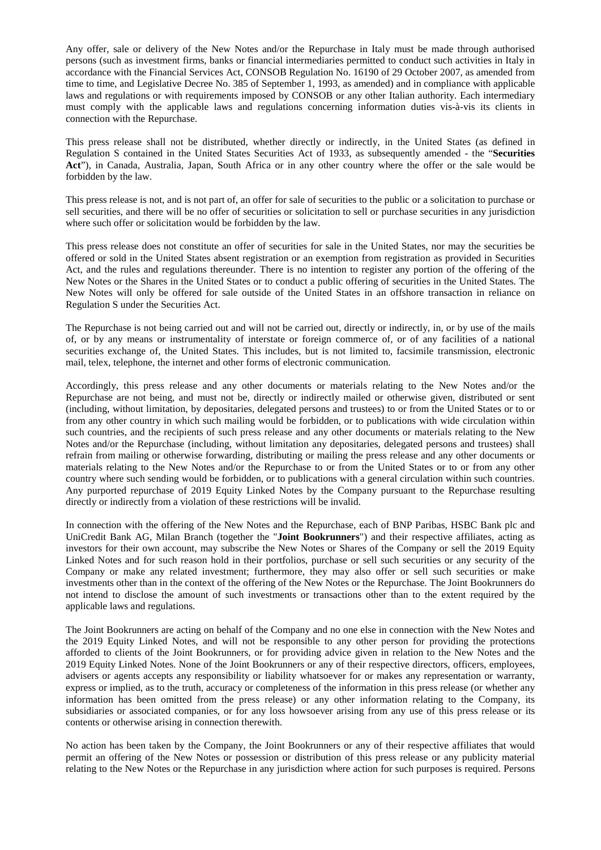Any offer, sale or delivery of the New Notes and/or the Repurchase in Italy must be made through authorised persons (such as investment firms, banks or financial intermediaries permitted to conduct such activities in Italy in accordance with the Financial Services Act, CONSOB Regulation No. 16190 of 29 October 2007, as amended from time to time, and Legislative Decree No. 385 of September 1, 1993, as amended) and in compliance with applicable laws and regulations or with requirements imposed by CONSOB or any other Italian authority. Each intermediary must comply with the applicable laws and regulations concerning information duties vis-à-vis its clients in connection with the Repurchase.

This press release shall not be distributed, whether directly or indirectly, in the United States (as defined in Regulation S contained in the United States Securities Act of 1933, as subsequently amended - the "**Securities Act**"), in Canada, Australia, Japan, South Africa or in any other country where the offer or the sale would be forbidden by the law.

This press release is not, and is not part of, an offer for sale of securities to the public or a solicitation to purchase or sell securities, and there will be no offer of securities or solicitation to sell or purchase securities in any jurisdiction where such offer or solicitation would be forbidden by the law.

This press release does not constitute an offer of securities for sale in the United States, nor may the securities be offered or sold in the United States absent registration or an exemption from registration as provided in Securities Act, and the rules and regulations thereunder. There is no intention to register any portion of the offering of the New Notes or the Shares in the United States or to conduct a public offering of securities in the United States. The New Notes will only be offered for sale outside of the United States in an offshore transaction in reliance on Regulation S under the Securities Act.

The Repurchase is not being carried out and will not be carried out, directly or indirectly, in, or by use of the mails of, or by any means or instrumentality of interstate or foreign commerce of, or of any facilities of a national securities exchange of, the United States. This includes, but is not limited to, facsimile transmission, electronic mail, telex, telephone, the internet and other forms of electronic communication.

Accordingly, this press release and any other documents or materials relating to the New Notes and/or the Repurchase are not being, and must not be, directly or indirectly mailed or otherwise given, distributed or sent (including, without limitation, by depositaries, delegated persons and trustees) to or from the United States or to or from any other country in which such mailing would be forbidden, or to publications with wide circulation within such countries, and the recipients of such press release and any other documents or materials relating to the New Notes and/or the Repurchase (including, without limitation any depositaries, delegated persons and trustees) shall refrain from mailing or otherwise forwarding, distributing or mailing the press release and any other documents or materials relating to the New Notes and/or the Repurchase to or from the United States or to or from any other country where such sending would be forbidden, or to publications with a general circulation within such countries. Any purported repurchase of 2019 Equity Linked Notes by the Company pursuant to the Repurchase resulting directly or indirectly from a violation of these restrictions will be invalid.

In connection with the offering of the New Notes and the Repurchase, each of BNP Paribas, HSBC Bank plc and UniCredit Bank AG, Milan Branch (together the "**Joint Bookrunners**") and their respective affiliates, acting as investors for their own account, may subscribe the New Notes or Shares of the Company or sell the 2019 Equity Linked Notes and for such reason hold in their portfolios, purchase or sell such securities or any security of the Company or make any related investment; furthermore, they may also offer or sell such securities or make investments other than in the context of the offering of the New Notes or the Repurchase. The Joint Bookrunners do not intend to disclose the amount of such investments or transactions other than to the extent required by the applicable laws and regulations.

The Joint Bookrunners are acting on behalf of the Company and no one else in connection with the New Notes and the 2019 Equity Linked Notes, and will not be responsible to any other person for providing the protections afforded to clients of the Joint Bookrunners, or for providing advice given in relation to the New Notes and the 2019 Equity Linked Notes. None of the Joint Bookrunners or any of their respective directors, officers, employees, advisers or agents accepts any responsibility or liability whatsoever for or makes any representation or warranty, express or implied, as to the truth, accuracy or completeness of the information in this press release (or whether any information has been omitted from the press release) or any other information relating to the Company, its subsidiaries or associated companies, or for any loss howsoever arising from any use of this press release or its contents or otherwise arising in connection therewith.

No action has been taken by the Company, the Joint Bookrunners or any of their respective affiliates that would permit an offering of the New Notes or possession or distribution of this press release or any publicity material relating to the New Notes or the Repurchase in any jurisdiction where action for such purposes is required. Persons